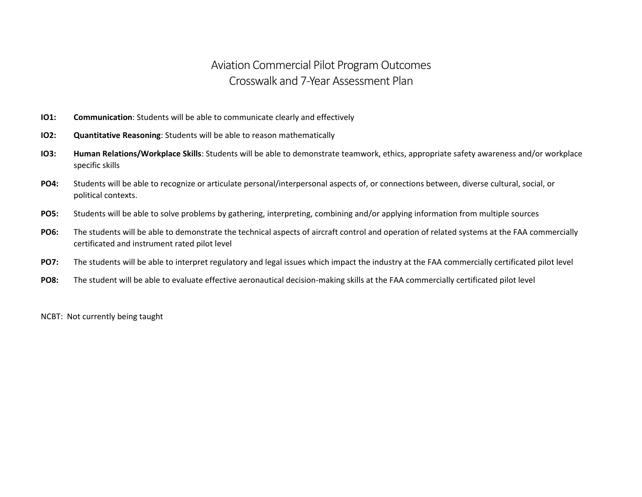## Aviation Commercial Pilot Program Outcomes Crosswalk and 7-Year Assessment Plan

- **IO1: Communication**: Students will be able to communicate clearly and effectively
- **IO2: Quantitative Reasoning**: Students will be able to reason mathematically
- **IO3: Human Relations/Workplace Skills**: Students will be able to demonstrate teamwork, ethics, appropriate safety awareness and/or workplace specific skills
- **PO4:** Students will be able to recognize or articulate personal/interpersonal aspects of, or connections between, diverse cultural, social, or political contexts.
- **PO5:** Students will be able to solve problems by gathering, interpreting, combining and/or applying information from multiple sources
- **PO6:** The students will be able to demonstrate the technical aspects of aircraft control and operation of related systems at the FAA commercially certificated and instrument rated pilot level
- **PO7:** The students will be able to interpret regulatory and legal issues which impact the industry at the FAA commercially certificated pilot level
- **PO8:** The student will be able to evaluate effective aeronautical decision-making skills at the FAA commercially certificated pilot level

NCBT: Not currently being taught